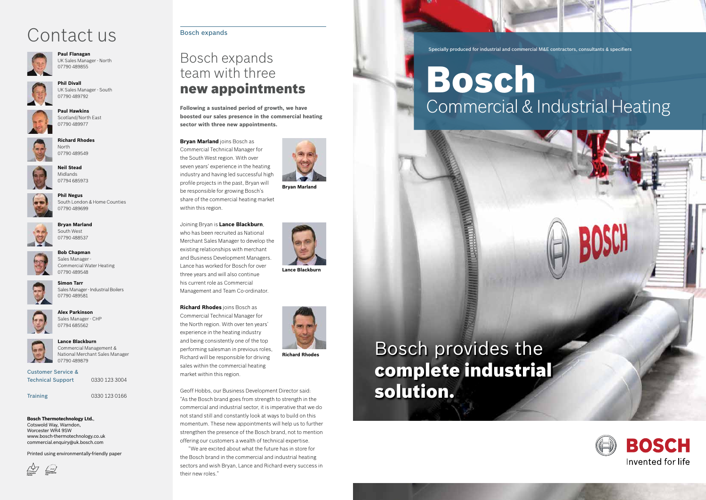Specially produced for industrial and commercial M&E contractors, consultants & specifiers

# Bosch



## Commercial & Industrial Heating







## **Paul Flanagan**

UK Sales Manager - North 07790 489855



### **Phil Divall** UK Sales Manager - South 07790 489792



**Paul Hawkins** Scotland/North East 07790 489977



**Richard Rhodes** North 07790 489549

Customer Service & Technical Support 0330 123 3004

**Neil Stead** Midlands



07794 685973 **Phil Negus**

South London & Home Counties 07790 489699



**Bryan Marland** South West 07790 488537



**Bob Chapman** Sales Manager - Commercial Water Heating 07790 489548



**Alex Parkinson** Sales Manager - CHP



07794 685562 **Lance Blackburn**



Training0330 123 0166

## **Bosch Thermotechnology Ltd.**,

Cotswold Way, Warndon, Worcester WR4 9SW www.bosch-thermotechnology.co.uk commercial.enquiry@uk.bosch.com

Printed using environmentally-friendly paper



## Contact us



## Bosch expands team with three new appointments

**Following a sustained period of growth, we have boosted our sales presence in the commercial heating sector with three new appointments.** 

## **Bryan Marland** joins Bosch as Commercial Technical Manager for the South West region. With over seven years' experience in the heating industry and having led successful high profile projects in the past, Bryan will

be responsible for growing Bosch's share of the commercial heating market

within this region.

Joining Bryan is **Lance Blackburn**, who has been recruited as National Merchant Sales Manager to develop the existing relationships with merchant and Business Development Managers. Lance has worked for Bosch for over three years and will also continue his current role as Commercial Management and Team Co-ordinator.

**Richard Rhodes** joins Bosch as Commercial Technical Manager for the North region. With over ten years' experience in the heating industry and being consistently one of the top performing salesman in previous roles, Richard will be responsible for driving sales within the commercial heating market within this region.



Geoff Hobbs, our Business Development Director said: "As the Bosch brand goes from strength to strength in the commercial and industrial sector, it is imperative that we do not stand still and constantly look at ways to build on this momentum. These new appointments will help us to further strengthen the presence of the Bosch brand, not to mention offering our customers a wealth of technical expertise.

"We are excited about what the future has in store for the Bosch brand in the commercial and industrial heating sectors and wish Bryan, Lance and Richard every success in their new roles."

## Bosch expands

**Bryan Marland**



**Lance Blackburn**

**Richard Rhodes**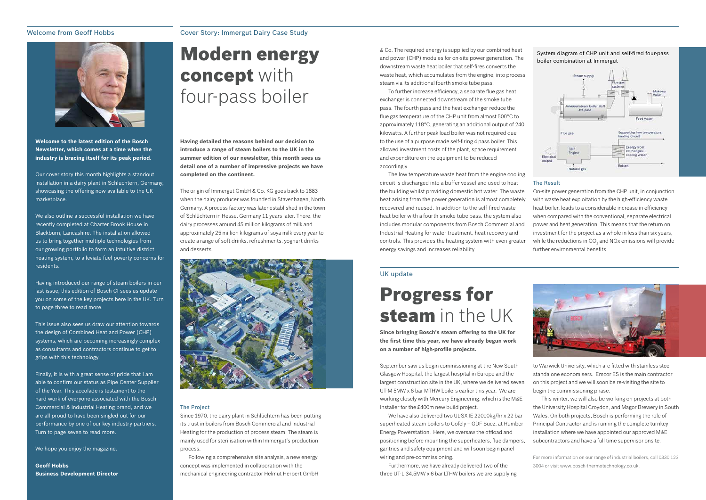## Welcome from Geoff Hobbs



**Welcome to the latest edition of the Bosch Newsletter, which comes at a time when the industry is bracing itself for its peak period.** 

Our cover story this month highlights a standout installation in a dairy plant in Schluchtern, Germany, showcasing the offering now available to the UK marketplace.

We also outline a successful installation we have recently completed at Charter Brook House in Blackburn, Lancashire. The installation allowed us to bring together multiple technologies from our growing portfolio to form an intuitive district heating system, to alleviate fuel poverty concerns for residents.

Finally, it is with a great sense of pride that I am able to confirm our status as Pipe Center Supplier of the Year. This accolade is testament to the hard work of everyone associated with the Bosch Commercial & Industrial Heating brand, and we are all proud to have been singled out for our performance by one of our key industry partners. Turn to page seven to read more.

Having introduced our range of steam boilers in our last issue, this edition of Bosch CI sees us update you on some of the key projects here in the UK. Turn to page three to read more.

This issue also sees us draw our attention towards the design of Combined Heat and Power (CHP) systems, which are becoming increasingly complex as consultants and contractors continue to get to grips with this technology.

We hope you enjoy the magazine.

**Geoff Hobbs Business Development Director**

## Progress for steam in the UK

## Cover Story: Immergut Dairy Case Study

## Modern energy concept with four-pass boiler

September saw us begin commissioning at the New South Glasgow Hospital, the largest hospital in Europe and the largest construction site in the UK, where we delivered seven UT-M 5MW x 6 bar MTHW boilers earlier this year. We are working closely with Mercury Engineering, which is the M&E Installer for the £400m new build project.

We have also delivered two UL-SX IE 22000kg/hr x 22 bar superheated steam boilers to Cofely – GDF Suez, at Humber Energy Powerstation. Here, we oversaw the offload and positioning before mounting the superheaters, flue dampers, gantries and safety equipment and will soon begin panel wiring and pre-commissioning.

Furthermore, we have already delivered two of the three UT-L 34.5MW x 6 bar LTHW boilers we are supplying to Warwick University, which are fitted with stainless steel standalone economisers. Emcor ES is the main contractor on this project and we will soon be re-visiting the site to begin the commissioning phase.

This winter, we will also be working on projects at both the University Hospital Croydon, and Magor Brewery in South Wales. On both projects, Bosch is performing the role of Principal Contractor and is running the complete turnkey installation where we have appointed our approved M&E subcontractors and have a full time supervisor onsite.

For more information on our range of industrial boilers, call 0330 123 3004 or visit www.bosch-thermotechnology.co.uk.

## System diagram of CHP unit and self-fired four-pass boiler combination at Immergutsupporting low temperature eating circuit **Energy from** CHP engine

**Natural** eas



**Since bringing Bosch's steam offering to the UK for the first time this year, we have already begun work on a number of high-profile projects.**

## UK update

**Having detailed the reasons behind our decision to introduce a range of steam boilers to the UK in the summer edition of our newsletter, this month sees us detail one of a number of impressive projects we have completed on the continent.** 

The origin of Immergut GmbH & Co. KG goes back to 1883 when the dairy producer was founded in Stavenhagen, North Germany. A process factory was later established in the town of Schlüchtern in Hesse, Germany 11 years later. There, the dairy processes around 45 million kilograms of milk and approximately 25 million kilograms of soya milk every year to create a range of soft drinks, refreshments, yoghurt drinks and desserts.



& Co. The required energy is supplied by our combined heat and power (CHP) modules for on-site power generation. The downstream waste heat boiler that self-fires converts the waste heat, which accumulates from the engine, into process steam via its additional fourth smoke tube pass.

To further increase efficiency, a separate flue gas heat exchanger is connected downstream of the smoke tube pass. The fourth pass and the heat exchanger reduce the flue gas temperature of the CHP unit from almost 500°C to approximately 118°C, generating an additional output of 240 kilowatts. A further peak load boiler was not required due to the use of a purpose made self-firing 4 pass boiler. This allowed investment costs of the plant, space requirement and expenditure on the equipment to be reduced accordingly.

The low temperature waste heat from the engine cooling circuit is discharged into a buffer vessel and used to heat the building whilst providing domestic hot water. The waste heat arising from the power generation is almost completely recovered and reused. In addition to the self-fired waste heat boiler with a fourth smoke tube pass, the system also includes modular components from Bosch Commercial and Industrial Heating for water treatment, heat recovery and controls. This provides the heating system with even greater energy savings and increases reliability. The Result On-site power generation from the CHP unit, in conjunction with waste heat exploitation by the high-efficiency waste heat boiler, leads to a considerable increase in efficiency when compared with the conventional, separate electrical power and heat generation. This means that the return on investment for the project as a whole in less than six years, while the reductions in CO $_2$  and NOx emissions will provide further environmental benefits.

### The Project

Since 1970, the dairy plant in Schlüchtern has been putting its trust in boilers from Bosch Commercial and Industrial Heating for the production of process steam. The steam is mainly used for sterilisation within Immergut's production process.

Following a comprehensive site analysis, a new energy concept was implemented in collaboration with the mechanical engineering contractor Helmut Herbert GmbH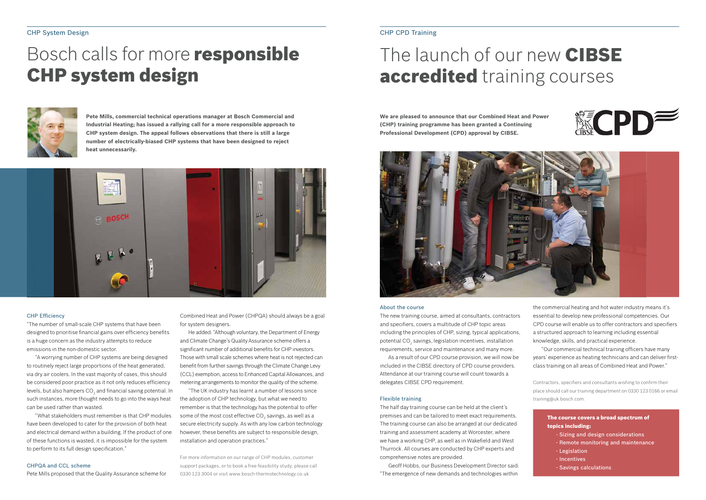### CHP System Design

## Bosch calls for more **responsible CHP system design**



**Pete Mills, commercial technical operations manager at Bosch Commercial and Industrial Heating; has issued a rallying call for a more responsible approach to CHP system design. The appeal follows observations that there is still a large number of electrically-biased CHP systems that have been designed to reject heat unnecessarily.**



### CHP Efficiency

"The number of small-scale CHP systems that have been designed to prioritise financial gains over efficiency benefits is a huge concern as the industry attempts to reduce emissions in the non-domestic sector.

"A worrying number of CHP systems are being designed to routinely reject large proportions of the heat generated, via dry air coolers. In the vast majority of cases, this should be considered poor practice as it not only reduces efficiency levels, but also hampers CO $_2$  and financial saving potential. In such instances, more thought needs to go into the ways heat can be used rather than wasted.

"What stakeholders must remember is that CHP modules have been developed to cater for the provision of both heat and electrical demand within a building. If the product of one of these functions is wasted, it is impossible for the system to perform to its full design specification."

### CHPQA and CCL scheme

Pete Mills proposed that the Quality Assurance scheme for

Combined Heat and Power (CHPQA) should always be a goal for system designers.

He added: "Although voluntary, the Department of Energy and Climate Change's Quality Assurance scheme offers a significant number of additional benefits for CHP investors. Those with small scale schemes where heat is not rejected can benefit from further savings through the Climate Change Levy (CCL) exemption, access to Enhanced Capital Allowances, and metering arrangements to monitor the quality of the scheme.

"The UK industry has learnt a number of lessons since the adoption of CHP technology, but what we need to remember is that the technology has the potential to offer some of the most cost effective CO $_2$  savings, as well as a secure electricity supply. As with any low carbon technology however, these benefits are subject to responsible design, installation and operation practices."

For more information on our range of CHP modules, customer support packages, or to book a free feasibility study, please call 0330 123 3004 or visit www.bosch-thermotechnology.co.uk

## CHP CPD Training

## The launch of our new CIBSE accredited training courses

### About the course

The new training course, aimed at consultants, contractors and specifiers, covers a multitude of CHP topic areas including the principles of CHP, sizing, typical applications, potential CO $_{\tiny 2}$  savings, legislation incentives, installation requirements, service and maintenance and many more.

As a result of our CPD course provision, we will now be included in the CIBSE directory of CPD course providers. Attendance at our training course will count towards a delegates CIBSE CPD requirement.

### Flexible training

The half day training course can be held at the client's premises and can be tailored to meet exact requirements. The training course can also be arranged at our dedicated training and assessment academy at Worcester, where we have a working CHP, as well as in Wakefield and West Thurrock. All courses are conducted by CHP experts and comprehensive notes are provided.

Geoff Hobbs, our Business Development Director said: "The emergence of new demands and technologies within



**We are pleased to announce that our Combined Heat and Power (CHP) training programme has been granted a Continuing Professional Development (CPD) approval by CIBSE.**



the commercial heating and hot water industry means it's essential to develop new professional competencies. Our CPD course will enable us to offer contractors and specifiers a structured approach to learning including essential knowledge, skills, and practical experience.

"Our commercial technical training officers have many years' experience as heating technicians and can deliver firstclass training on all areas of Combined Heat and Power."

Contractors, specifiers and consultants wishing to confirm their place should call our training department on 0330 123 0166 or email training@uk.bosch.com.

> The course covers a broad spectrum of topics including:

- Sizing and design considerations
- Remote monitoring and maintenance
- Legislation
- Incentives
- Savings calculations